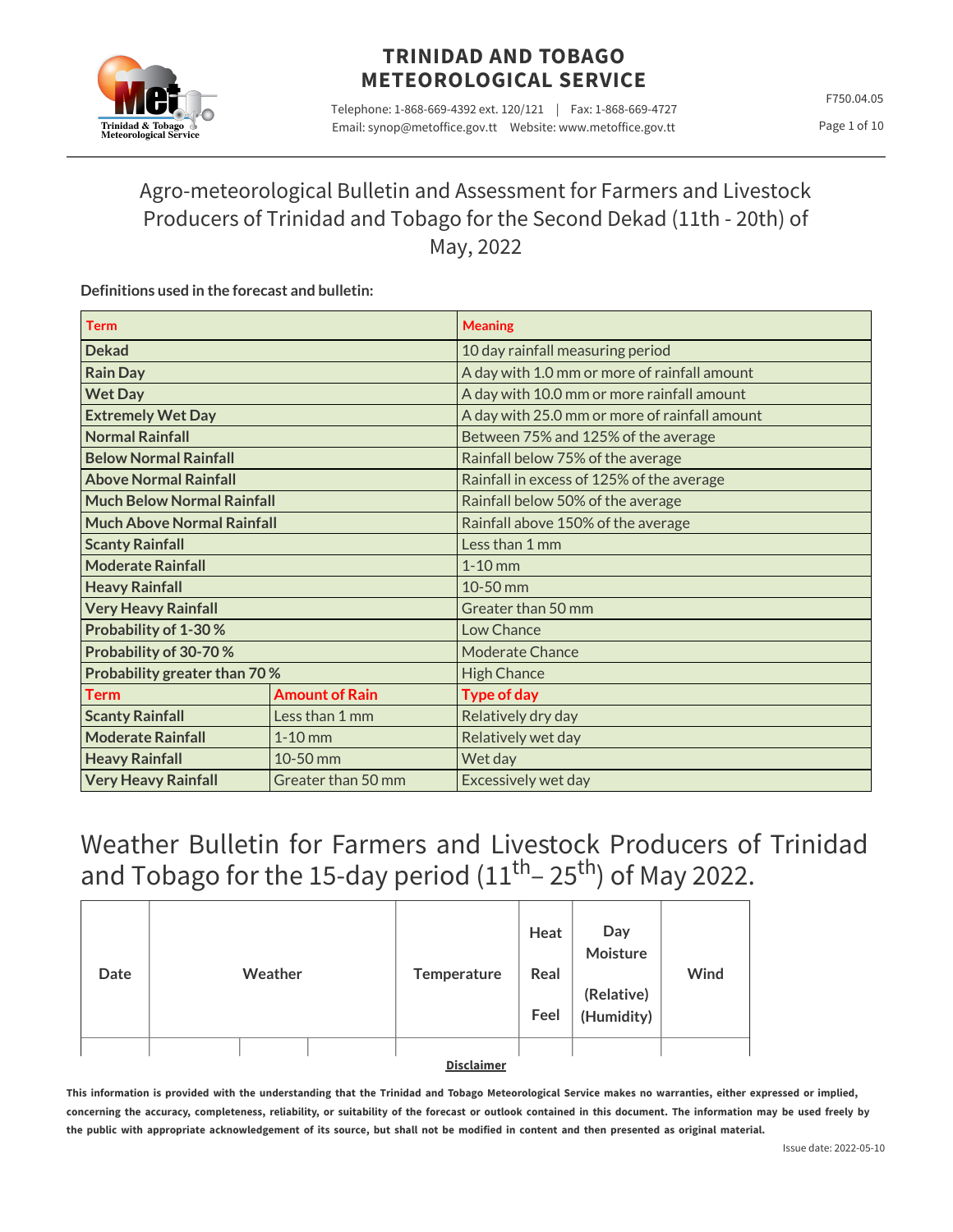

Telephone: 1-868-669-4392 ext. 120/121 | Fax: 1-868-669-4727 Email: synop@metoffice.gov.tt Website: www.metoffice.gov.tt

F750.04.05 Page 1 of 10

# Agro-meteorological Bulletin and Assessment for Farmers and Livestock Producers of Trinidad and Tobago for the Second Dekad (11th - 20th) of May, 2022

### **Definitions used in the forecast and bulletin:**

| <b>Term</b>                           |                       | <b>Meaning</b>                                |  |  |  |  |
|---------------------------------------|-----------------------|-----------------------------------------------|--|--|--|--|
| <b>Dekad</b>                          |                       | 10 day rainfall measuring period              |  |  |  |  |
| <b>Rain Day</b>                       |                       | A day with 1.0 mm or more of rainfall amount  |  |  |  |  |
| <b>Wet Day</b>                        |                       | A day with 10.0 mm or more rainfall amount    |  |  |  |  |
| <b>Extremely Wet Day</b>              |                       | A day with 25.0 mm or more of rainfall amount |  |  |  |  |
| <b>Normal Rainfall</b>                |                       | Between 75% and 125% of the average           |  |  |  |  |
| <b>Below Normal Rainfall</b>          |                       | Rainfall below 75% of the average             |  |  |  |  |
| <b>Above Normal Rainfall</b>          |                       | Rainfall in excess of 125% of the average     |  |  |  |  |
| <b>Much Below Normal Rainfall</b>     |                       | Rainfall below 50% of the average             |  |  |  |  |
| <b>Much Above Normal Rainfall</b>     |                       | Rainfall above 150% of the average            |  |  |  |  |
| <b>Scanty Rainfall</b>                |                       | Less than 1 mm                                |  |  |  |  |
| <b>Moderate Rainfall</b>              |                       | $1-10$ mm                                     |  |  |  |  |
| <b>Heavy Rainfall</b>                 |                       | 10-50 mm                                      |  |  |  |  |
| <b>Very Heavy Rainfall</b>            |                       | Greater than 50 mm                            |  |  |  |  |
| Probability of 1-30%                  |                       | Low Chance                                    |  |  |  |  |
| Probability of 30-70%                 |                       | <b>Moderate Chance</b>                        |  |  |  |  |
| Probability greater than 70%          |                       | <b>High Chance</b>                            |  |  |  |  |
| <b>Term</b>                           | <b>Amount of Rain</b> | <b>Type of day</b>                            |  |  |  |  |
| <b>Scanty Rainfall</b>                | Less than 1 mm        | Relatively dry day                            |  |  |  |  |
| <b>Moderate Rainfall</b><br>$1-10$ mm |                       | Relatively wet day                            |  |  |  |  |
| <b>Heavy Rainfall</b>                 | 10-50 mm              | Wet day                                       |  |  |  |  |
| <b>Very Heavy Rainfall</b>            | Greater than 50 mm    | Excessively wet day                           |  |  |  |  |

# Weather Bulletin for Farmers and Livestock Producers of Trinidad and Tobago for the 15-day period  $(11^{\text{th}}$ – 25<sup>th</sup>) of May 2022.

| Date | Weather | Temperature       | Heat<br>Real<br>Feel | Day<br>Moisture<br>(Relative)<br>(Humidity) | Wind |
|------|---------|-------------------|----------------------|---------------------------------------------|------|
|      |         |                   |                      |                                             |      |
|      |         | <b>Disclaimer</b> |                      |                                             |      |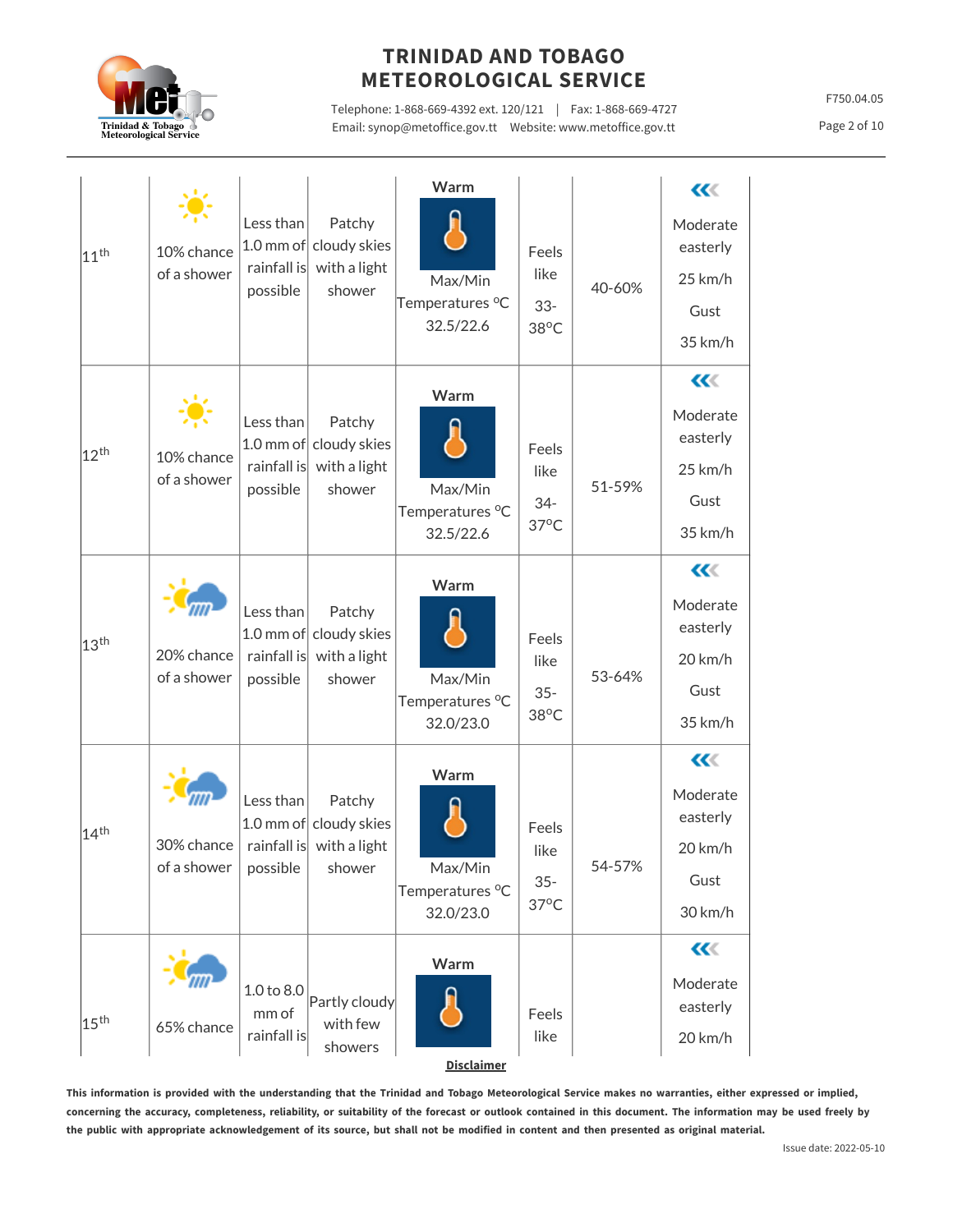

Telephone: 1-868-669-4392 ext. 120/121 | Fax: 1-868-669-4727 Email: synop@metoffice.gov.tt Website: www.metoffice.gov.tt

F750.04.05

Page 2 of 10

|                  |                                            |                                      |                                                            | Warm                                    |                                           |        | $\alpha$             |
|------------------|--------------------------------------------|--------------------------------------|------------------------------------------------------------|-----------------------------------------|-------------------------------------------|--------|----------------------|
| 11 <sup>th</sup> | 10% chance<br>of a shower                  | Less than<br>rainfall is<br>possible | Patchy<br>1.0 mm of cloudy skies<br>with a light<br>shower | Max/Min<br>Temperatures °C<br>32.5/22.6 | Feels<br>like<br>$33 -$<br>$38^{\circ}$ C | 40-60% | Moderate<br>easterly |
|                  |                                            |                                      |                                                            |                                         |                                           |        | 25 km/h              |
|                  |                                            |                                      |                                                            |                                         |                                           |        | Gust                 |
|                  |                                            |                                      |                                                            |                                         |                                           |        | 35 km/h              |
|                  |                                            |                                      |                                                            | Warm                                    |                                           |        | $\alpha$             |
| 12 <sup>th</sup> |                                            | Less than<br>$1.0$ mm of             | Patchy<br>cloudy skies                                     |                                         | Feels                                     |        | Moderate<br>easterly |
|                  | 10% chance<br>of a shower                  | rainfall is                          | with a light<br>shower                                     |                                         | like<br>$34 -$<br>$37^{\circ}$ C          | 51-59% | 25 km/h              |
|                  |                                            | possible                             |                                                            | Max/Min<br>Temperatures °C              |                                           |        | Gust                 |
|                  |                                            |                                      |                                                            | 32.5/22.6                               |                                           |        | 35 km/h              |
|                  |                                            |                                      |                                                            | Warm                                    |                                           |        | $\alpha$             |
|                  | 20% chance<br>of a shower                  | Less than<br>rainfall is<br>possible | Patchy<br>1.0 mm of cloudy skies<br>with a light<br>shower | Max/Min<br>Temperatures °C<br>32.0/23.0 | Feels<br>like<br>$35 -$<br>$38^{\circ}$ C | 53-64% | Moderate<br>easterly |
| 13 <sup>th</sup> |                                            |                                      |                                                            |                                         |                                           |        | $20$ km/h            |
|                  |                                            |                                      |                                                            |                                         |                                           |        | Gust                 |
|                  |                                            |                                      |                                                            |                                         |                                           |        | 35 km/h              |
|                  |                                            |                                      |                                                            | Warm                                    |                                           |        | $\alpha$             |
| 14 <sup>th</sup> | 30% chance<br>of a shower $ $ possible $ $ | Less than<br>rainfall is             | Patchy<br>1.0 mm of cloudy skies<br>with a light<br>shower | Max/Min<br>Temperatures °C              | Feels<br>like<br>$35 -$                   | 54-57% | Moderate<br>easterly |
|                  |                                            |                                      |                                                            |                                         |                                           |        | 20 km/h              |
|                  |                                            |                                      |                                                            |                                         |                                           |        | Gust                 |
|                  |                                            |                                      |                                                            | 32.0/23.0                               | $37^{\circ}$ C                            |        | 30 km/h              |
|                  |                                            |                                      |                                                            | Warm                                    |                                           |        | $\alpha$             |
|                  |                                            | 1.0 to 8.0                           |                                                            |                                         |                                           |        | Moderate             |
| 15 <sup>th</sup> | 65% chance                                 | mm of                                | Partly cloudy<br>with few                                  |                                         | Feels                                     |        | easterly             |
|                  |                                            | rainfall is                          | showers                                                    | <b>Disclaimer</b>                       | like                                      |        | 20 km/h              |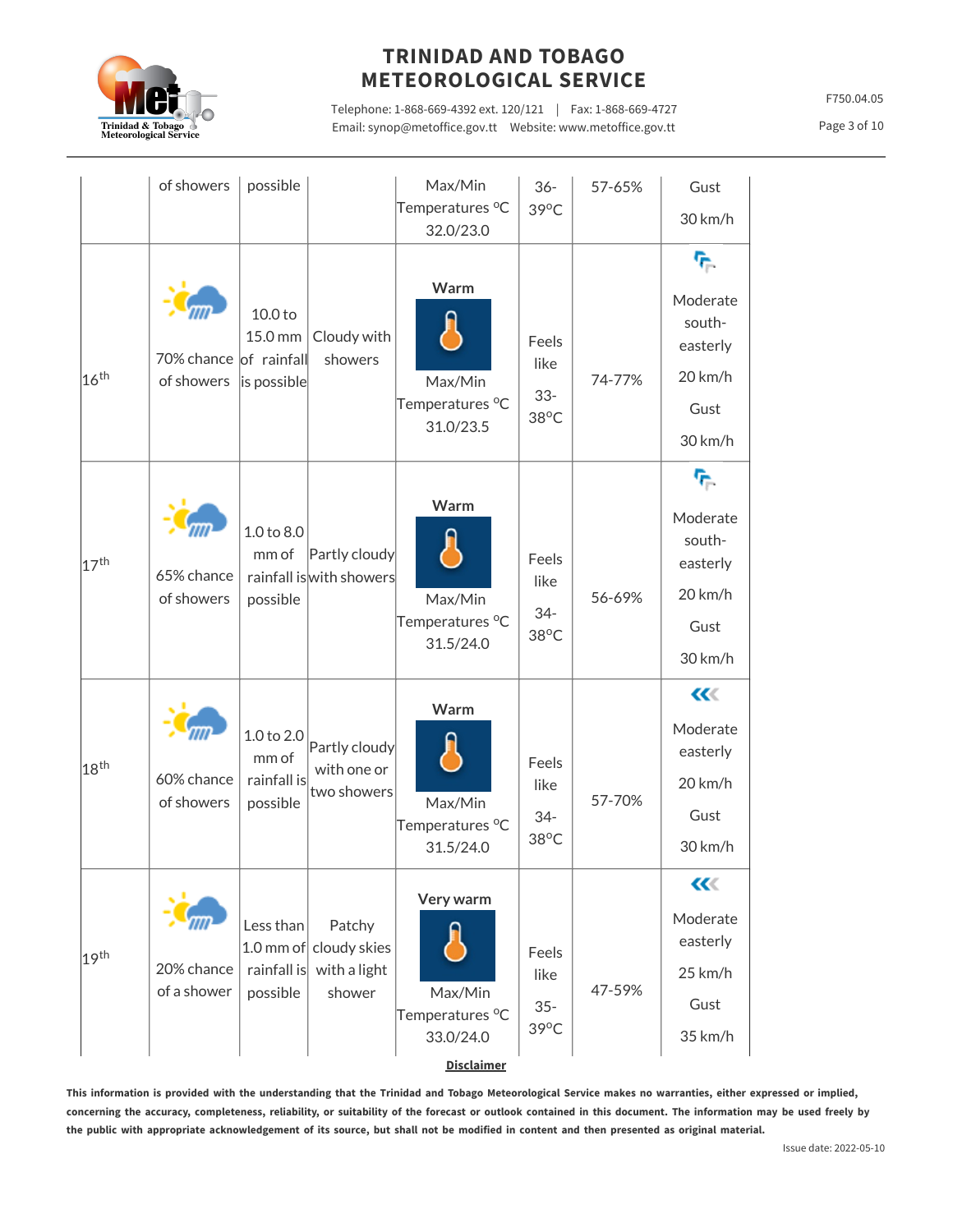

Telephone: 1-868-669-4392 ext. 120/121 | Fax: 1-868-669-4727 Email: synop@metoffice.gov.tt Website: www.metoffice.gov.tt

F750.04.05

Page 3 of 10

|                  | of showers                           | possible                                       |                                                            | Max/Min<br>Temperatures °C<br>32.0/23.0                                               | $36 -$<br>39°C                            | 57-65% | Gust<br>30 km/h                                                                  |
|------------------|--------------------------------------|------------------------------------------------|------------------------------------------------------------|---------------------------------------------------------------------------------------|-------------------------------------------|--------|----------------------------------------------------------------------------------|
| 16 <sup>th</sup> | 70% chance of rainfall<br>of showers | 10.0 to<br>15.0 mm<br>is possible              | Cloudy with<br>showers                                     | Warm<br>Max/Min<br>Temperatures °C<br>31.0/23.5                                       | Feels<br>like<br>$33 -$<br>$38^{\circ}$ C | 74-77% | ዮ<br>Moderate<br>south-<br>easterly<br>$20$ km/h<br>Gust<br>30 km/h              |
| 17 <sup>th</sup> | 65% chance<br>of showers             | 1.0 to 8.0<br>mm of<br>possible                | Partly cloudy<br>rainfall is with showers                  | Warm<br>Max/Min<br>Temperatures °C<br>31.5/24.0                                       | Feels<br>like<br>$34 -$<br>38°C           | 56-69% | $\tau_{\rm e}$<br>Moderate<br>south-<br>easterly<br>$20$ km/h<br>Gust<br>30 km/h |
| 18 <sup>th</sup> | 60% chance<br>of showers             | 1.0 to 2.0<br>mm of<br>rainfall is<br>possible | Partly cloudy<br>with one or<br>two showers                | Warm<br>Max/Min<br>Temperatures °C<br>31.5/24.0                                       | Feels<br>like<br>$34-$<br>38°C            | 57-70% | $\ll$<br>Moderate<br>easterly<br>20 km/h<br>Gust<br>30 km/h                      |
| 19 <sup>th</sup> | 20% chance<br>of a shower            | Less than<br>rainfall is<br>possible           | Patchy<br>1.0 mm of cloudy skies<br>with a light<br>shower | Very warm<br>Max/Min<br>Temperatures <sup>o</sup> C<br>33.0/24.0<br><b>Disclaimer</b> | Feels<br>like<br>$35 -$<br>39°C           | 47-59% | $\alpha$<br>Moderate<br>easterly<br>25 km/h<br>Gust<br>35 km/h                   |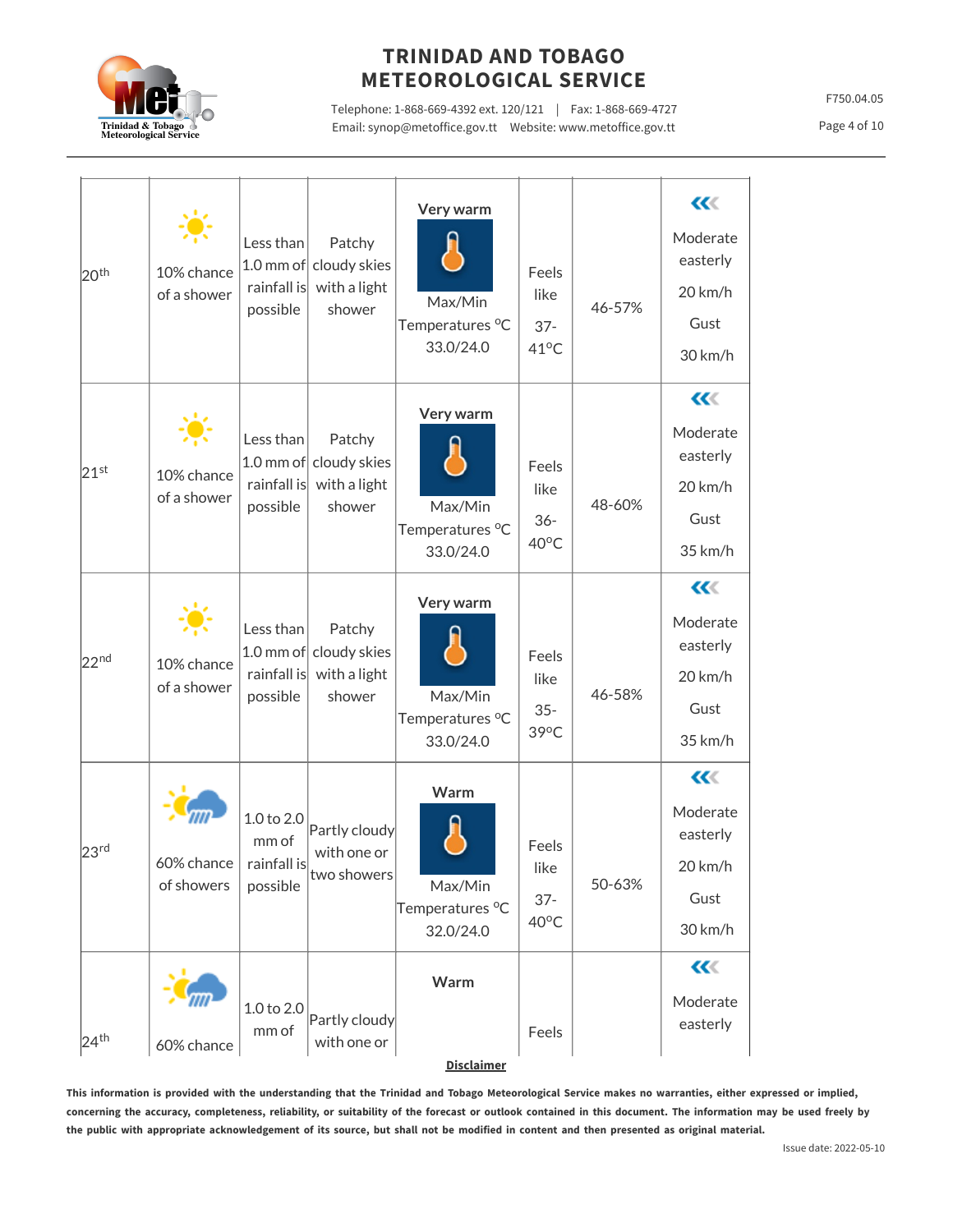

Telephone: 1-868-669-4392 ext. 120/121 | Fax: 1-868-669-4727 Email: synop@metoffice.gov.tt Website: www.metoffice.gov.tt

F750.04.05

Page 4 of 10

| 20 <sup>th</sup> | 10% chance<br>of a shower | Less than<br>rainfall is<br>possible           | Patchy<br>1.0 mm of cloudy skies<br>with a light<br>shower | Very warm<br>Max/Min<br>Temperatures °C<br>33.0/24.0 | Feels<br>like<br>$37 -$<br>$41^{\circ}$ C | 46-57% | $\alpha$<br>Moderate<br>easterly<br>20 km/h<br>Gust<br>30 km/h            |
|------------------|---------------------------|------------------------------------------------|------------------------------------------------------------|------------------------------------------------------|-------------------------------------------|--------|---------------------------------------------------------------------------|
| $21^{st}$        | 10% chance<br>of a shower | Less than<br>rainfall is<br>possible           | Patchy<br>1.0 mm of cloudy skies<br>with a light<br>shower | Very warm<br>Max/Min<br>Temperatures °C<br>33.0/24.0 | Feels<br>like<br>$36 -$<br>$40^{\circ}$ C | 48-60% | $\alpha$<br>Moderate<br>easterly<br>20 km/h<br>Gust<br>35 km/h            |
| 22 <sup>nd</sup> | 10% chance<br>of a shower | Less than<br>rainfall is<br>possible           | Patchy<br>1.0 mm of cloudy skies<br>with a light<br>shower | Very warm<br>Max/Min<br>Temperatures °C<br>33.0/24.0 | Feels<br>like<br>$35 -$<br>$39^{\circ}$ C | 46-58% | $\alpha$<br>Moderate<br>easterly<br>$20 \mathrm{km/h}$<br>Gust<br>35 km/h |
| 23 <sup>rd</sup> | 60% chance<br>of showers  | 1.0 to 2.0<br>mm of<br>rainfall is<br>possible | Partly cloudy<br>with one or<br>two showers                | Warm<br>Max/Min<br>Temperatures °C<br>32.0/24.0      | Feels<br>like<br>$37 -$<br>$40^{\circ}$ C | 50-63% | $\alpha$<br>Moderate<br>easterly<br>20 km/h<br>Gust<br>30 km/h            |
| 24 <sup>th</sup> | 60% chance                | 1.0 to 2.0<br>mm of                            | Partly cloudy<br>with one or                               | Warm<br><b>Disclaimer</b>                            | Feels                                     |        | $\alpha$<br>Moderate<br>easterly                                          |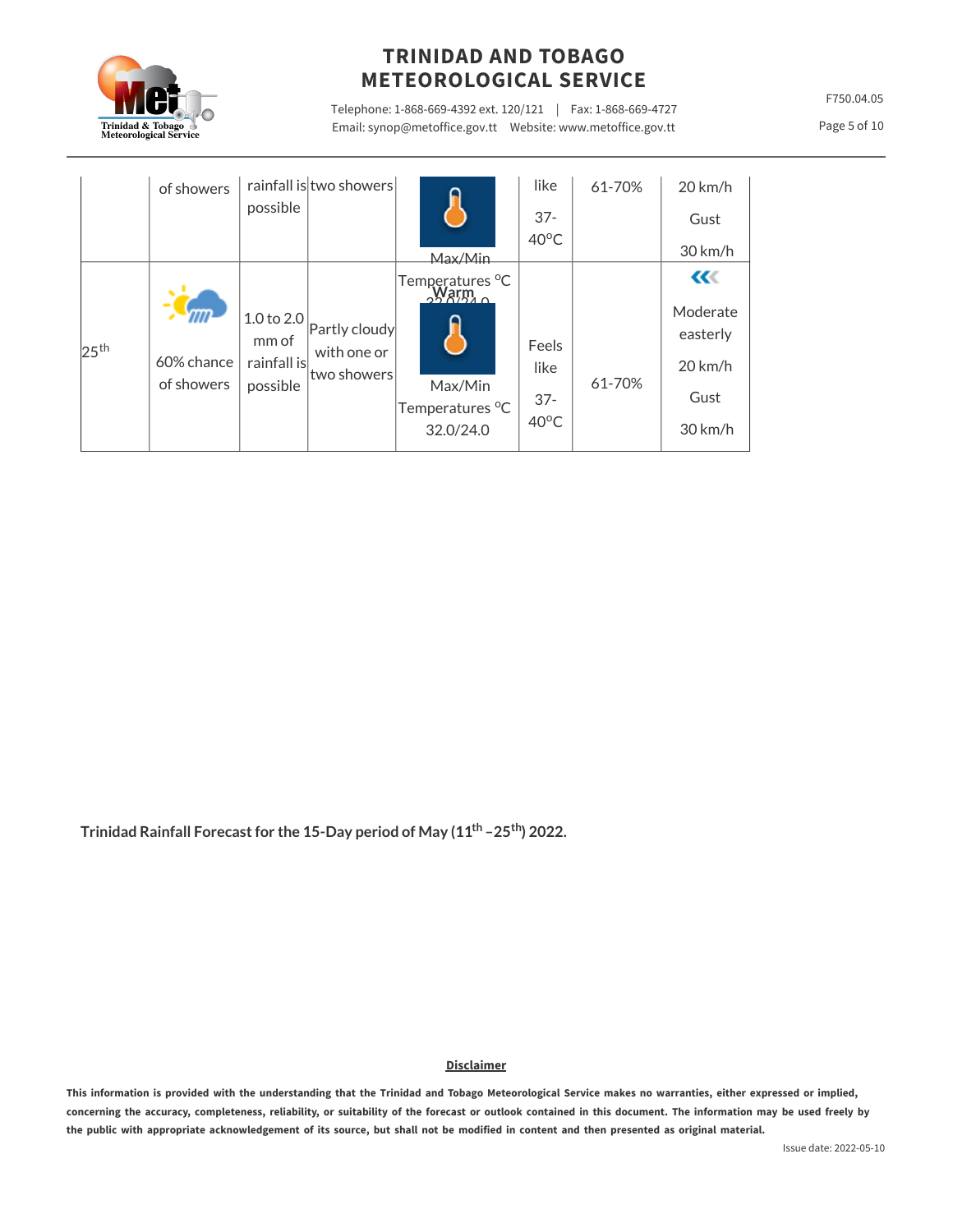

Telephone: 1-868-669-4392 ext. 120/121 | Fax: 1-868-669-4727 Email: synop@metoffice.gov.tt Website: www.metoffice.gov.tt

F750.04.05

Page 5 of 10

|                  | of showers               | possible                                       | rainfall is two showers                     | Max/Min                                                    | like<br>$37 -$<br>40°C                    | 61-70% | $20 \text{ km/h}$<br>Gust<br>30 km/h                                       |
|------------------|--------------------------|------------------------------------------------|---------------------------------------------|------------------------------------------------------------|-------------------------------------------|--------|----------------------------------------------------------------------------|
| 25 <sup>th</sup> | 60% chance<br>of showers | 1.0 to 2.0<br>mm of<br>rainfall is<br>possible | Partly cloudy<br>with one or<br>two showers | Temperatures °C<br>Max/Min<br>Temperatures °C<br>32.0/24.0 | Feels<br>like<br>$37 -$<br>$40^{\circ}$ C | 61-70% | $\alpha$<br>Moderate<br>easterly<br>$20 \, \text{km/h}$<br>Gust<br>30 km/h |

**Trinidad Rainfall Forecast for the 15-Day period of May (11 –25 ) 2022. th th**

**Disclaimer**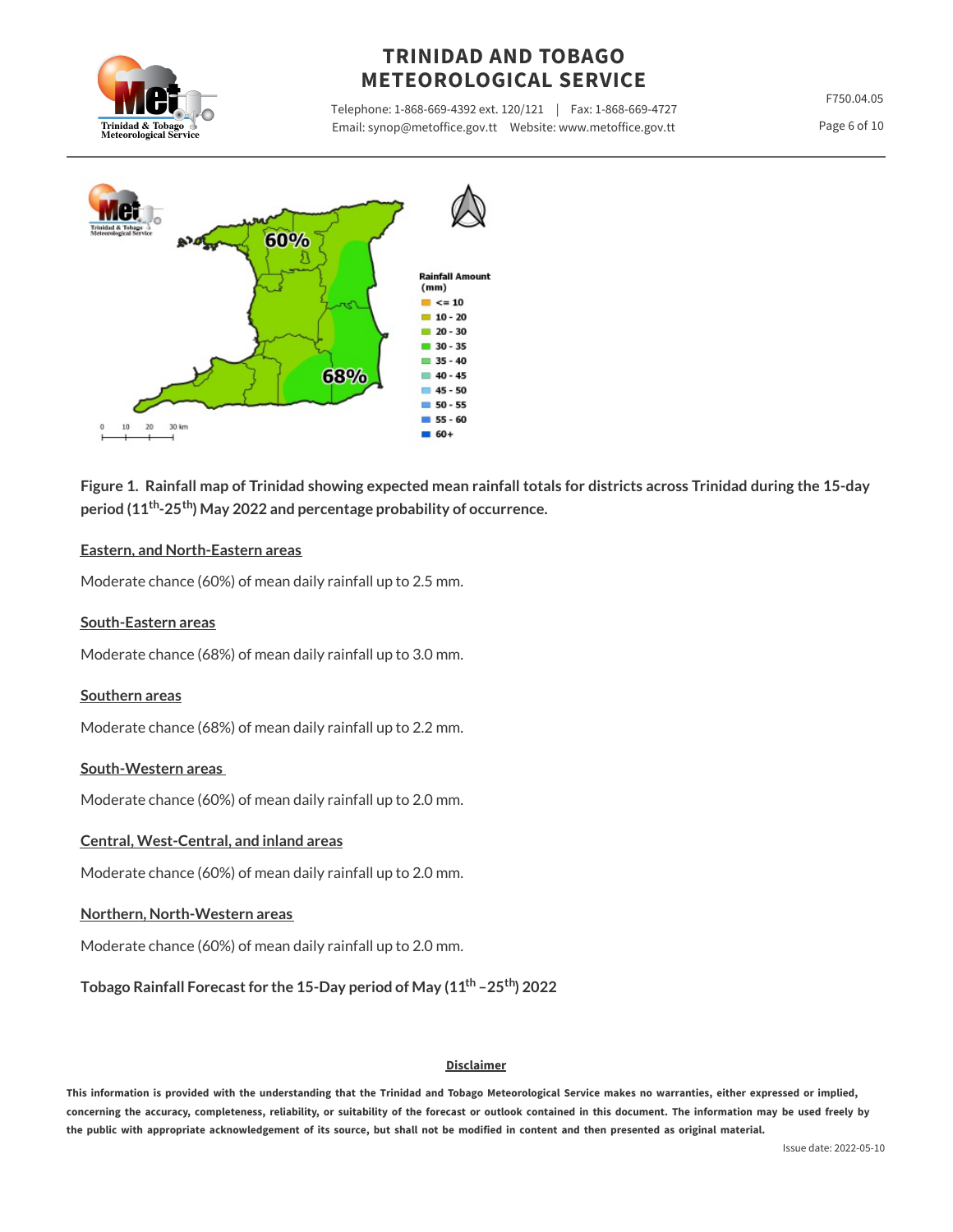

Telephone: 1-868-669-4392 ext. 120/121 | Fax: 1-868-669-4727 Email: synop@metoffice.gov.tt Website: www.metoffice.gov.tt

F750.04.05

Page 6 of 10



Figure 1. Rainfall map of Trinidad showing expected mean rainfall totals for districts across Trinidad during the 15-day **period (11 -25 ) May 2022 and percentage probability of occurrence. th th**

#### **Eastern, and North-Eastern areas**

Moderate chance (60%) of mean daily rainfall up to 2.5 mm.

#### **South-Eastern areas**

Moderate chance (68%) of mean daily rainfall up to 3.0 mm.

#### **Southern areas**

Moderate chance (68%) of mean daily rainfall up to 2.2 mm.

#### **South-Western areas**

Moderate chance (60%) of mean daily rainfall up to 2.0 mm.

#### **Central, West-Central, and inland areas**

Moderate chance (60%) of mean daily rainfall up to 2.0 mm.

#### **Northern, North-Western areas**

Moderate chance (60%) of mean daily rainfall up to 2.0 mm.

**Tobago Rainfall Forecast for the 15-Day period of May (11 –25 ) 2022 th th**

#### **Disclaimer**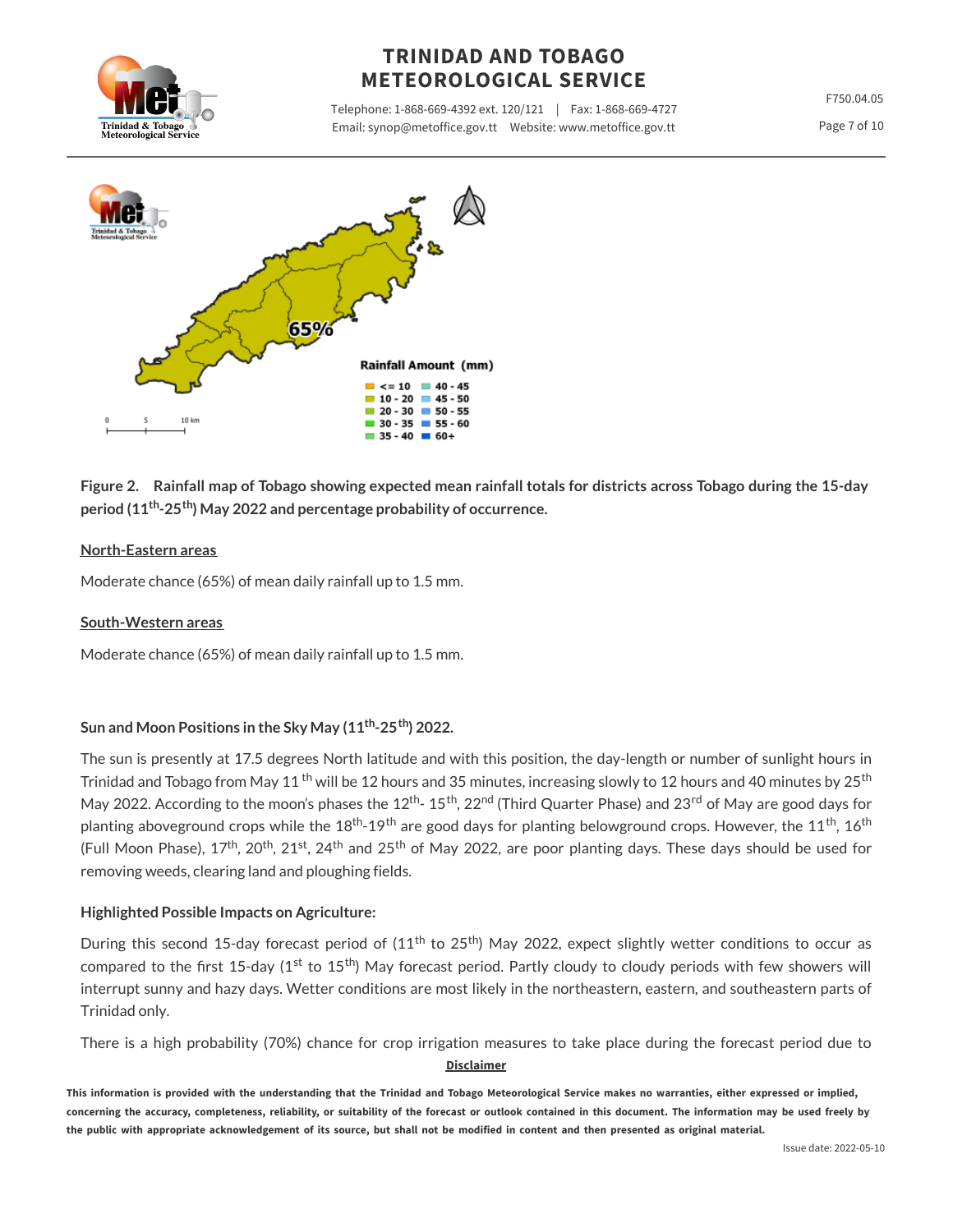

Telephone: 1-868-669-4392 ext. 120/121 | Fax: 1-868-669-4727 Email: synop@metoffice.gov.tt Website: www.metoffice.gov.tt

F750.04.05

Page 7 of 10



Figure 2. Rainfall map of Tobago showing expected mean rainfall totals for districts across Tobago during the 15-day **period (11 -25 ) May 2022 and percentage probability of occurrence. th th**

### **North-Eastern areas**

Moderate chance (65%) of mean daily rainfall up to 1.5 mm.

#### **South-Western areas**

Moderate chance (65%) of mean daily rainfall up to 1.5 mm.

### **Sun and Moon Positions in the Sky May (11 -25 ) 2022. th th**

The sun is presently at 17.5 degrees North latitude and with this position, the day-length or number of sunlight hours in Trinidad and Tobago from May 11 <sup>th</sup> will be 12 hours and 35 minutes, increasing slowly to 12 hours and 40 minutes by 25<sup>th</sup> May 2022. According to the moon's phases the 12<sup>th</sup>- 15<sup>th</sup>, 22<sup>nd</sup> (Third Quarter Phase) and 23<sup>rd</sup> of May are good days for planting aboveground crops while the  $18^{\rm th}$ -19<sup>th</sup> are good days for planting belowground crops. However, the  $11^{\rm th}$ , 16<sup>th</sup> (Full Moon Phase), 17<sup>th</sup>, 20<sup>th</sup>, 21<sup>st</sup>, 24<sup>th</sup> and 25<sup>th</sup> of May 2022, are poor planting days. These days should be used for removing weeds, clearing land and ploughing fields.

### **Highlighted Possible Impacts on Agriculture:**

During this second 15-day forecast period of (11<sup>th</sup> to 25<sup>th</sup>) May 2022, expect slightly wetter conditions to occur as compared to the first 15-day (1st to 15<sup>th</sup>) May forecast period. Partly cloudy to cloudy periods with few showers will interrupt sunny and hazy days. Wetter conditions are most likely in the northeastern, eastern, and southeastern parts of Trinidad only.

There is a high probability (70%) chance for crop irrigation measures to take place during the forecast period due to **Disclaimer**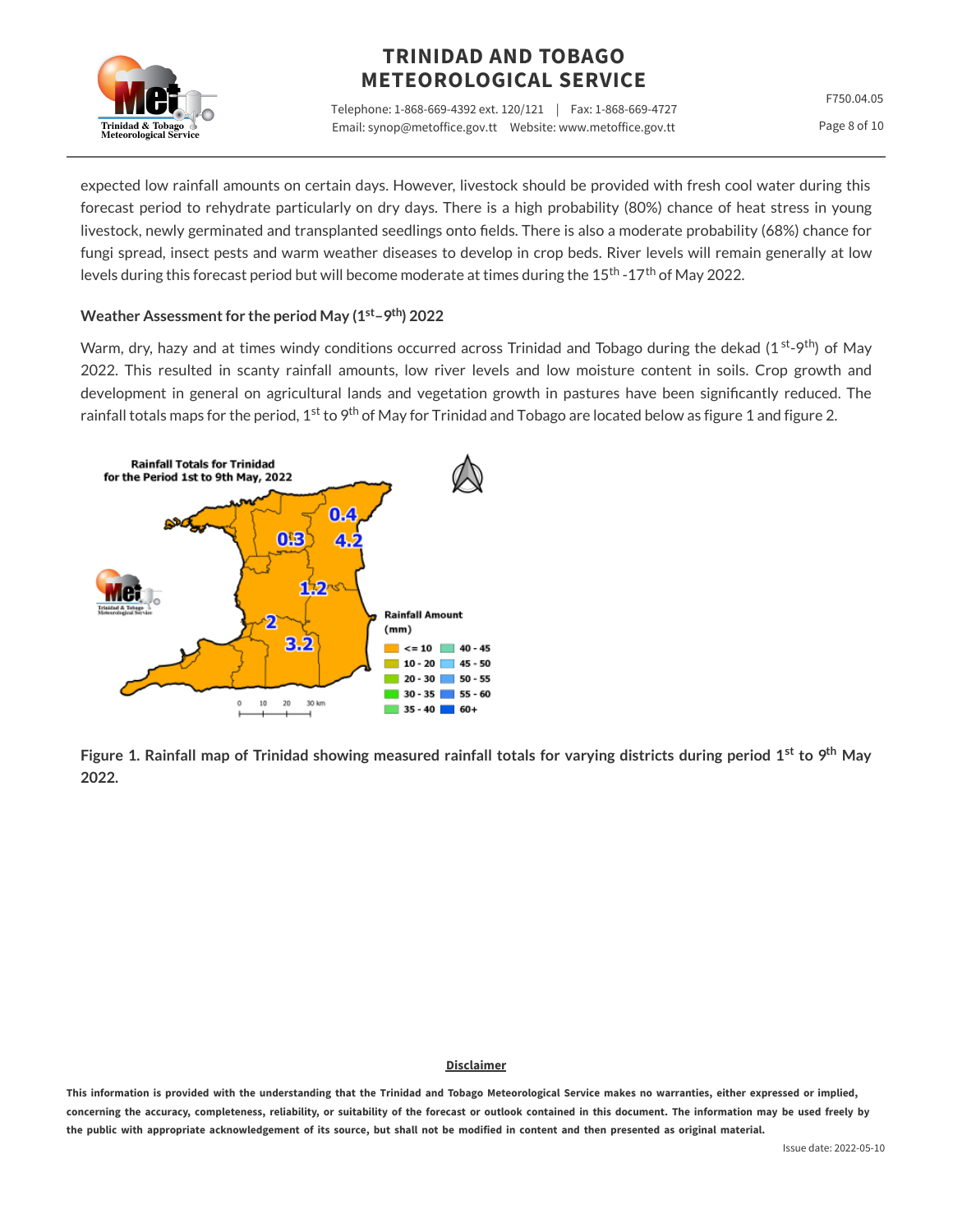

Telephone: 1-868-669-4392 ext. 120/121 | Fax: 1-868-669-4727 Email: synop@metoffice.gov.tt Website: www.metoffice.gov.tt

F750.04.05 Page 8 of 10

expected low rainfall amounts on certain days. However, livestock should be provided with fresh cool water during this forecast period to rehydrate particularly on dry days. There is a high probability (80%) chance of heat stress in young livestock, newly germinated and transplanted seedlings onto fields. There is also a moderate probability (68%) chance for fungi spread, insect pests and warm weather diseases to develop in crop beds. River levels will remain generally at low levels during this forecast period but will become moderate at times during the 15<sup>th</sup> -17<sup>th</sup> of May 2022.

#### **Weather Assessment for the period May (1 –9 ) 2022 st th**

Warm, dry, hazy and at times windy conditions occurred across Trinidad and Tobago during the dekad (1<sup>st</sup>-9<sup>th</sup>) of May 2022. This resulted in scanty rainfall amounts, low river levels and low moisture content in soils. Crop growth and development in general on agricultural lands and vegetation growth in pastures have been significantly reduced. The rainfall totals maps for the period, 1<sup>st</sup> to 9<sup>th</sup> of May for Trinidad and Tobago are located below as figure 1 and figure 2.



Figure 1. Rainfall map of Trinidad showing measured rainfall totals for varying districts during period 1<sup>st</sup> to 9<sup>th</sup> May **2022.**

#### **Disclaimer**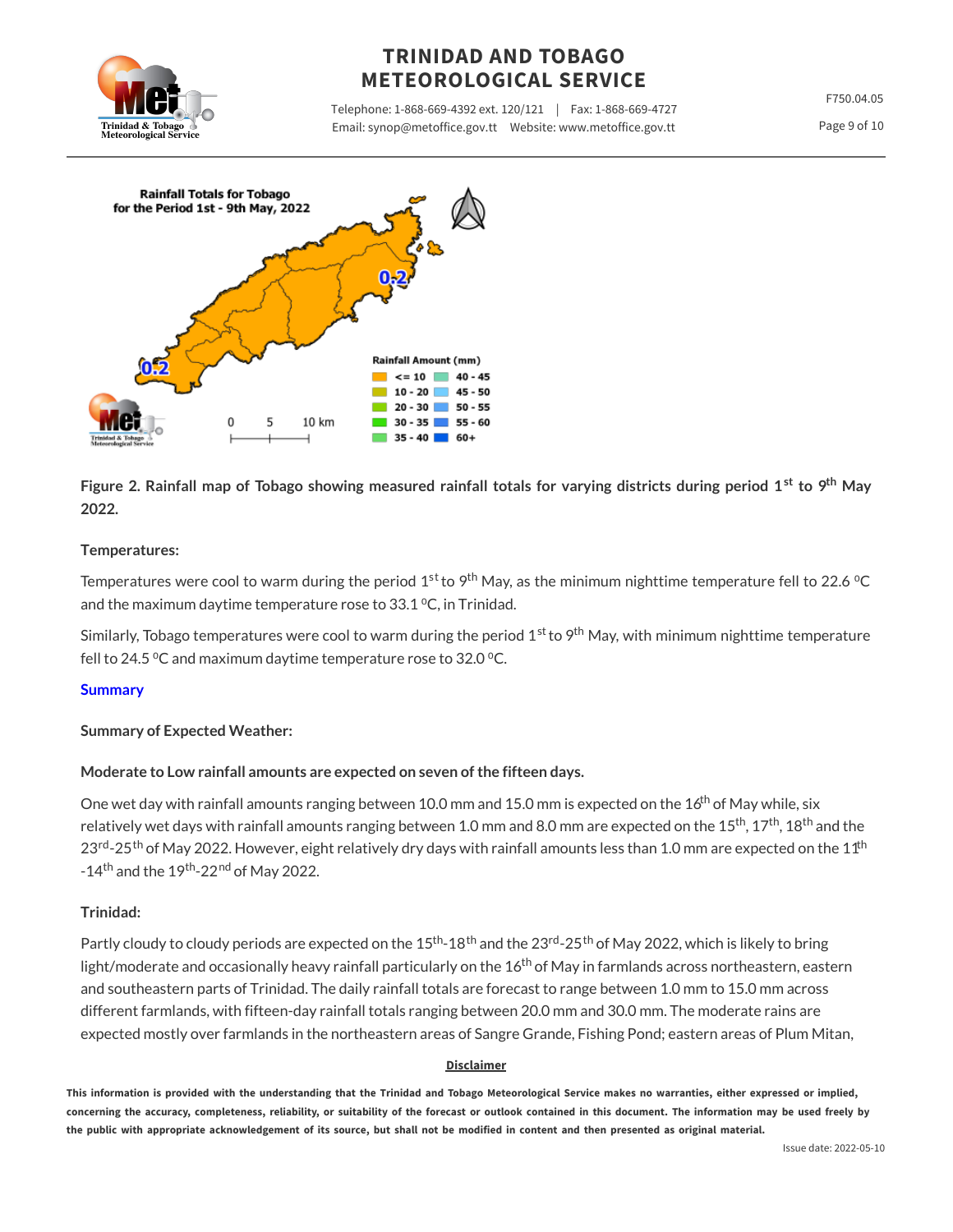

Telephone: 1-868-669-4392 ext. 120/121 | Fax: 1-868-669-4727 Email: synop@metoffice.gov.tt Website: www.metoffice.gov.tt

F750.04.05





Figure 2. Rainfall map of Tobago showing measured rainfall totals for varying districts during period 1<sup>st</sup> to 9<sup>th</sup> May **2022.**

### **Temperatures:**

Temperatures were cool to warm during the period 1st to 9<sup>th</sup> May, as the minimum nighttime temperature fell to 22.6 °C and the maximum daytime temperature rose to  $33.1$  °C, in Trinidad.

Similarly, Tobago temperatures were cool to warm during the period 1<sup>st</sup> to 9<sup>th</sup> May, with minimum nighttime temperature fell to 24.5  $\degree$ C and maximum daytime temperature rose to 32.0  $\degree$ C.

### **Summary**

### **Summary of Expected Weather:**

### **Moderate to Low rainfall amounts are expected on seven of the fifteen days.**

One wet day with rainfall amounts ranging between 10.0 mm and 15.0 mm is expected on the  $16^{\rm th}$  of May while, six relatively wet days with rainfall amounts ranging between 1.0 mm and 8.0 mm are expected on the 15<sup>th</sup>, 17<sup>th</sup>, 18<sup>th</sup> and the 23<sup>rd</sup>-25<sup>th</sup> of May 2022. However, eight relatively dry days with rainfall amounts less than 1.0 mm are expected on the 11<sup>th</sup> -14<sup>th</sup> and the 19<sup>th</sup>-22<sup>nd</sup> of May 2022.

#### **Trinidad:**

Partly cloudy to cloudy periods are expected on the 15<sup>th</sup>-18<sup>th</sup> and the 23<sup>rd</sup>-25<sup>th</sup> of May 2022, which is likely to bring light/moderate and occasionally heavy rainfall particularly on the  $16^{\rm th}$  of May in farmlands across northeastern, eastern and southeastern parts of Trinidad. The daily rainfall totals are forecast to range between 1.0 mm to 15.0 mm across different farmlands, with fifteen-day rainfall totals ranging between 20.0 mm and 30.0 mm. The moderate rains are expected mostly over farmlands in the northeastern areas of Sangre Grande, Fishing Pond; eastern areas of Plum Mitan,

#### **Disclaimer**